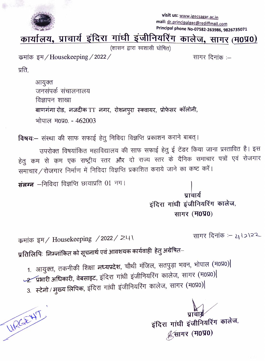

visit us: www.igecsagar.ac.in mail: dr.principalgec@rediffmail.com Principal phone No-07582-263986, 9826735071

## कार्यालय, प्राचार्य इंदिरा गांधी इंजीनियरिंग कालेज, सागर (म0प्र0)

(शासन द्वारा स्वशासी घोषित)

कमांक इम / Housekeeping / 2022 /

सागर दिनांक :-

प्रति,

URGE47

आयुक्त जनसंपर्क संचालनालय विज्ञापन शाखा बाणगंगा रोड, नजदीक TT नगर, रोशनपुरा स्क्वायर, प्रोफेसर कॉलोनी, भोपाल म0प्र0. - 462003

विषयः– संस्था की साफ सफाई हेतु निविदा विज्ञप्ति प्रकाशन कराने बाबत्।

उपरोक्त विषयांकित महाविद्यालय की साफ सफाई हेतु ई टेंडर किया जाना प्रस्तावित है। इस हेतु कम से कम एक राष्ट्रीय स्तर और दो राज्य स्तर के दैनिक समाचार पत्रों एवं रोजगार समाचार/रोजगार निर्माण में निविदा विज्ञप्ति प्रकाशित कराये जाने का कष्ट करें।

**संलग्न** –निविदा विज्ञप्ति छायाप्रति 01 नग।

पाचार्य इंदिरा गांधी इंजीनियरिंग कालेज, सागर (म0प्र0)

कमांक इम / Housekeeping / 2022 / 241

सागर दिनांक :- 412122

प्रतिलिपिः निम्नांकित को सूचनार्थ एवं आवशयक कार्यवाही हेतु अग्रेषित–

1. आयुक्त, तकनीकी शिक्षा मध्यप्रदेश, चौथी मंजिल, सतपुड़ा भवन, भोपाल (म0प्र0)

- -2. प्रभारी अधिकारी, वेबसाइट, इंदिरा गांधी इंजीनियरिंग कालेज, सागर (म0प्र0)
- 3. स्टेनो / मुख्य लिपिक, इंदिरा गांधी इंजीनियरिंग कालेज, सागर (म0प्र0)|

प्राचार्य इंदिरा गांधी इंजीनियरिंग कालेज, ∜ूसागर (म0प्र0)